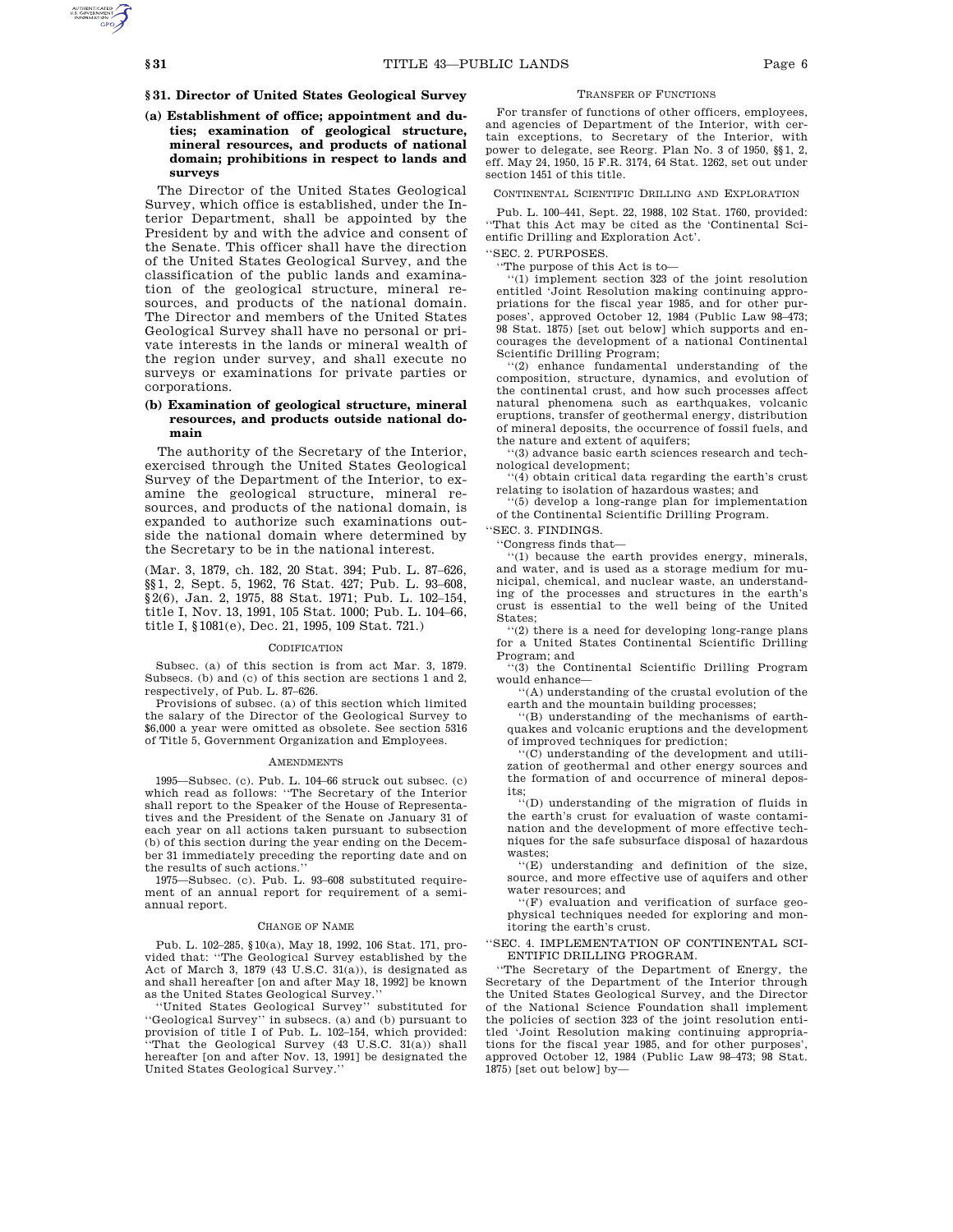# **§ 31. Director of United States Geological Survey**

# **(a) Establishment of office; appointment and duties; examination of geological structure, mineral resources, and products of national domain; prohibitions in respect to lands and surveys**

The Director of the United States Geological Survey, which office is established, under the Interior Department, shall be appointed by the President by and with the advice and consent of the Senate. This officer shall have the direction of the United States Geological Survey, and the classification of the public lands and examination of the geological structure, mineral resources, and products of the national domain. The Director and members of the United States Geological Survey shall have no personal or private interests in the lands or mineral wealth of the region under survey, and shall execute no surveys or examinations for private parties or corporations.

## **(b) Examination of geological structure, mineral resources, and products outside national domain**

The authority of the Secretary of the Interior, exercised through the United States Geological Survey of the Department of the Interior, to examine the geological structure, mineral resources, and products of the national domain, is expanded to authorize such examinations outside the national domain where determined by the Secretary to be in the national interest.

(Mar. 3, 1879, ch. 182, 20 Stat. 394; Pub. L. 87–626, §§1, 2, Sept. 5, 1962, 76 Stat. 427; Pub. L. 93–608, §2(6), Jan. 2, 1975, 88 Stat. 1971; Pub. L. 102–154, title I, Nov. 13, 1991, 105 Stat. 1000; Pub. L. 104–66, title I, §1081(e), Dec. 21, 1995, 109 Stat. 721.)

### **CODIFICATION**

Subsec. (a) of this section is from act Mar. 3, 1879. Subsecs. (b) and (c) of this section are sections 1 and 2, respectively, of Pub. L. 87–626.

Provisions of subsec. (a) of this section which limited the salary of the Director of the Geological Survey to \$6,000 a year were omitted as obsolete. See section 5316 of Title 5, Government Organization and Employees.

#### AMENDMENTS

1995—Subsec. (c). Pub. L. 104–66 struck out subsec. (c) which read as follows: ''The Secretary of the Interior shall report to the Speaker of the House of Representatives and the President of the Senate on January 31 of each year on all actions taken pursuant to subsection (b) of this section during the year ending on the December 31 immediately preceding the reporting date and on the results of such actions.''

1975—Subsec. (c). Pub. L. 93–608 substituted requirement of an annual report for requirement of a semiannual report.

#### CHANGE OF NAME

Pub. L. 102–285, §10(a), May 18, 1992, 106 Stat. 171, provided that: ''The Geological Survey established by the Act of March 3, 1879 (43 U.S.C. 31(a)), is designated as and shall hereafter [on and after May 18, 1992] be known as the United States Geological Survey.

''United States Geological Survey'' substituted for ''Geological Survey'' in subsecs. (a) and (b) pursuant to provision of title I of Pub. L. 102–154, which provided: ''That the Geological Survey (43 U.S.C. 31(a)) shall hereafter [on and after Nov. 13, 1991] be designated the United States Geological Survey.''

### TRANSFER OF FUNCTIONS

For transfer of functions of other officers, employees, and agencies of Department of the Interior, with certain exceptions, to Secretary of the Interior, with power to delegate, see Reorg. Plan No. 3 of 1950, §§1, 2, eff. May 24, 1950, 15 F.R. 3174, 64 Stat. 1262, set out under section 1451 of this title.

CONTINENTAL SCIENTIFIC DRILLING AND EXPLORATION

Pub. L. 100–441, Sept. 22, 1988, 102 Stat. 1760, provided: ''That this Act may be cited as the 'Continental Scientific Drilling and Exploration Act'.

'SEC. 2. PURPOSES.

''The purpose of this Act is to—

''(1) implement section 323 of the joint resolution entitled 'Joint Resolution making continuing appropriations for the fiscal year 1985, and for other purposes', approved October 12, 1984 (Public Law 98–473; 98 Stat. 1875) [set out below] which supports and encourages the development of a national Continental Scientific Drilling Program;

''(2) enhance fundamental understanding of the composition, structure, dynamics, and evolution of the continental crust, and how such processes affect natural phenomena such as earthquakes, volcanic eruptions, transfer of geothermal energy, distribution of mineral deposits, the occurrence of fossil fuels, and the nature and extent of aquifers;

''(3) advance basic earth sciences research and technological development;

''(4) obtain critical data regarding the earth's crust relating to isolation of hazardous wastes; and

''(5) develop a long-range plan for implementation of the Continental Scientific Drilling Program.

''SEC. 3. FINDINGS.

''Congress finds that—

''(1) because the earth provides energy, minerals, and water, and is used as a storage medium for municipal, chemical, and nuclear waste, an understanding of the processes and structures in the earth's crust is essential to the well being of the United States;

''(2) there is a need for developing long-range plans for a United States Continental Scientific Drilling Program; and

''(3) the Continental Scientific Drilling Program would enhance—

''(A) understanding of the crustal evolution of the earth and the mountain building processes;

''(B) understanding of the mechanisms of earthquakes and volcanic eruptions and the development of improved techniques for prediction;

''(C) understanding of the development and utilization of geothermal and other energy sources and the formation of and occurrence of mineral deposits;

''(D) understanding of the migration of fluids in the earth's crust for evaluation of waste contamination and the development of more effective techniques for the safe subsurface disposal of hazardous wastes;

''(E) understanding and definition of the size, source, and more effective use of aquifers and other water resources; and

''(F) evaluation and verification of surface geophysical techniques needed for exploring and monitoring the earth's crust.

''SEC. 4. IMPLEMENTATION OF CONTINENTAL SCI-ENTIFIC DRILLING PROGRAM.

''The Secretary of the Department of Energy, the Secretary of the Department of the Interior through the United States Geological Survey, and the Director of the National Science Foundation shall implement the policies of section 323 of the joint resolution entitled 'Joint Resolution making continuing appropriations for the fiscal year 1985, and for other purposes', approved October 12, 1984 (Public Law 98–473; 98 Stat. 1875) [set out below] by—